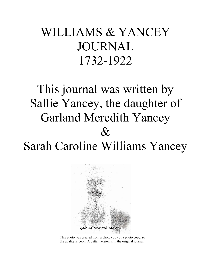# WILLIAMS & YANCEY JOURNAL 1732-1922

# This journal was written by Sallie Yancey, the daughter of Garland Meredith Yancey  $\mathcal{R}_I$ Sarah Caroline Williams Yancey



This photo was created from a photo copy of a photo copy, so the quality is poor. A better version is in the original journal.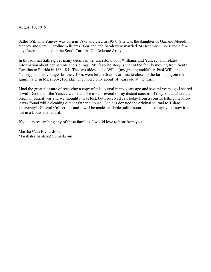August 10, 2015

Sallie Williams Yancey was born in 1873 and died in 1957. She was the daughter of Garland Meredith Yancey and Sarah Caroline Williams. Garland and Sarah were married 24 December, 1861 and a few days later he enlisted in the South Carolina Confederate Army.

In this journal Sallie gives many details of her ancestors, both Williams and Yancey, and relates information about her parents and siblings. My favorite story is that of the family moving from South Carolina to Florida in 1884-85. The two oldest sons, Willie (my great grandfather, Paul Williams Yancey) and his younger brother, Tom, were left in South Carolina to close up the farm and join the family later in Micanopy, Florida. They were only about 14 years old at the time.

I had the great pleasure of receiving a copy of this journal many years ago and several years ago I shared it with Dennis for the Yancey website. I've asked several of my distant cousins, if they knew where the original journal was and we thought it was lost, but I received call today from a cousin, letting me know it was found while cleaning out her father's house. She has donated the original journal to Tulane University's Special Collections and it will be made available online soon. I am so happy to know it is not in a Louisiana landfill.

If you are researching any of these families, I would love to hear from you.

Marsha Cain Richardson MarshaRichardson@Gmail.com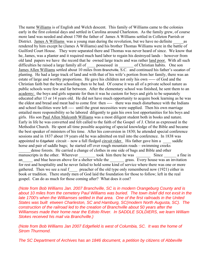The name Williams is of English and Welch descent. This family of Williams came to the colonies early in the first colonial days and settled in Carolina around Charleston. As the family grew, of course more land was needed and about 1700 the father of James A Williams settled in Colleton Parrish or District. James A Williams was a young man during the revolution, but we have no definite as rendered by him except he (James A Williams) and his brother Thomas Williams were in the battle of Guilford Court House. They were separated there and Thomas was never heard of since. We know that he, James, was a planter and it required much hard labor to regain his destroyed lands – however from old land papers we have the record that he owned large tracts and was rather land poor. With all such difficulties he raised a large family all of possessed in of Christian habits. One son James Allen Williams settled about 10 miles from Branchville, S.C. and continued his father's vocation of planting. He had a large track of land and with that of his wife's portion from her family, there was an estate of large and worthy proportions. He gave his children not only his own ----- of God and the Christian faith but the best schooling then to be had. Of course it was all of a private school nature as public schools were few and far between. After the elementary school was finished, he sent them to an academy; the boys and girls separate for then it was he custom for boys and girls to be separately educated after 13 or 14 years old. He did not have much opportunity to acquire book learning as he was the eldest and bread and meat had to come first then ---- there was much disturbance with the Indians and school facilities were left ---- until the great necessities were supplied. Then his own marriage entailed more responsibility so he labored diligently to gain his own lost opportunities for his boys and girls. His son Paul Allen Malcomb Williams was a most diligent student both in books and nature. Early in life he was converted and felt called to the faith of the Gospel of J. Christ as expressed in the Methodist Church. He spent all time possible acquiring of special knowledge of the Bible and became the best speaker of ministers of his time. After his conversion in 1830; he attended special conference sessions and in 1837 about 19 years old he was admitted on trail into the conference. In 1838 was appointed to Edgefield circuit – now a full fledged circuit rider. His father gave him a saddle horse and pair of saddle bags; he started off over rough mountain roads – swimming creeks dense forests. He carried a change of clothes in one side of bags and Bible and other manuscripts in the other. Wherever took him there he was Since a fine in

an and blue heaven above for a shelter while the grass. Every house was an invitation for rest and hospitality and he never failed to hold some kind of service where there was one or more gathered. Then we see a real f\_\_\_\_ preacher of the old type only remembered now (1921) either in book or tradition. There sturdy men of God laid the foundation for those to follow; left in the real gospel. Can do as much for those coming after? What does it cost?

*(Note from Bob Williams Jan. 2007 Branchville, SC is in modern Orangeburg County and is about 10 miles from the cemetery Paul Williams was buried. The town itslef did not exsit in the*  late 1700's when the Williamses settled in that area. One of the first railroads in the United *States was built etween Charleston, SC and Hamburg, SC(modern North Augusta, SC). The construction of the railroad led to the creation of Branchville about 50 years after the Williamses made their home near the Edisto River. In SADDLE SOLDIERS, we learn William Stokes received his mail via Branchville.)* 

*(Note from Bob Williams Jan 2007 Edgefield is west of Columbia, SC. It was the home of Strom Thurmond.* 

*The SC Department of Archives has an 1846 document, a petition by citizens of Abbeville*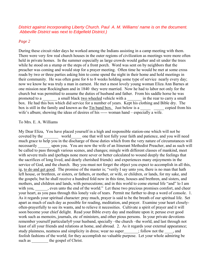## *District against incorporating Liberty Church. Paul A. M. Williams' name is on the document. Abbeville District was next to Edgefield District.)*

# *Page 2*

During these circuit rider days he worked among the Indians assisting in a camp meeting with them. There were very few real church houses in the outer regions of civilization as meetings were more often held in private homes. In the summer especially as large crowds would gather and sit under the trees while he stood on a stump or the steps of a front porch. Word was sent on by neighbors that the preacher was coming and would stop for a prayer meeting. Often time he would be met at some cross roads by two or three parties asking him to come spend the night in their home and hold meetings in their community. He was often gone for 6 to 8 weeks holding some type of service nearly every day; now we know he was truly a man in earnest. He met a most lovely young woman Eliza Ann Barnes at one mission near Rockingham and in 1840 they were married. Now he had to labor not only for the church but was permitted to assume the duties of husband and father. From his saddle horse he was promoted to a \_\_\_\_\_\_\_\_\_\_ a small black two wheeled vehicle with a \_\_\_\_\_\_\_ in the rear to carry a small box. He had this box which did service for a number of years. Kept his clothing and Bible dry. The box is still in the family and known as the Tin band box. Just below is a \_\_\_\_\_\_\_ copied from his wife's album; showing the ideas of desires of his ----- woman hand – especially a wife.

# To Mrs. E. A. Williams

My Dear Eliza, You have placed yourself in a high and responsible station-one which will not be coveted by the world one that will test fully your faith and patience, and you will need much grace to help you in the discharge of those duties which from the very nature of circumstances will necessarily upon you. You are now the wife of an Itinerant Methodist Preacher, and as such will be called to pass through various scenes, and changes; mingle with different classes of mankind, meet with severe trails and (perhaps none more sever or better calculated to wound deeply the feelings that the sacrifices of long lived, and dearly cherished friends) and experiences many enjoyments in the service of God, and the church. Buy you must not forget the object you expect to accomplish in all this, ig, to do and get good. The promise of the master is; "verily I say unto you, there is no man that hath left house, or brethren, or sisters, or fathers, or mother, or wife, or children, or lands, for my sake, and the gospels; but he shall receive a hundred fold now in this time, houses and brethren, and sisters, and mothers, and children and lands, with persecutions; and in this world to come eternal life "and" lo I am with you, \_\_\_\_\_, even unto the end of the world." Let these two precious promises comfort, and cheer your heart, as you pass through this lonely vale of tears. Permit me further to drop a word of console. 1. As it regards your spiritual character: pray much, prayer is said to be the breath of our spiritual life. Set apart as much of each day as possible for reading, meditation, and prayer. Examine your heart closelyoften-prayerfully to see its wants, and to relieve it necessities. Cultivate a spirit of prayer and it will soon become your chief delight. Read your Bible every day and meditate upon it; peruse ever good work such as memoirs, journals, etc of ministers, and other pious persons. In your private devotions remember yourself particularly0 your husband, specially –the church –the world, and last through not least of all your friends and relations at home, and abroad. 2. As it regards your external appearance; study plainness, neatness and simplicity in dress; wear no super ; follow not the , and foolish fashions of the world; for they accomplish no valuable purpose. Let your whole admiring be such as \_\_\_\_\_\_\_\_\_ the gospel of Christ.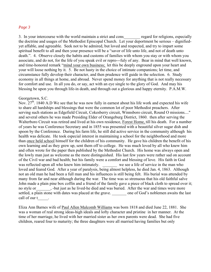### *Page 3*

3. In your intercourse with the world maintain a strict and cons regard for religions, especially the doctrine and usages of the Methodist Episcopal Church. Let your deportment be serious – dignifiedyet affable, and agreeable. Seek not to be admired, but loved and respected, and try to impart some spiritual benefit to all and then your presence will be a "savor of life unto life, and not of death unto death.". 4. Observe closely the habits and customs of families with whom you stay or with whom you associate, and do not, for the life of you speak evil or repro---fuly of any. Bear in mind that well known, and time-honored remark "mind your own business; let this be deeply enground upon your heart and your will loose nothing by it. 5. Be not hasty in the choice of intimate companions; let time, and circumstance fully develop their character, and then prudence will guide in the selection. 6. Study economy in all things at home, and abroad. Never spend money for anything that is not really necessary for comfort and use. In all you do, or say, act with an eye single to the glory of God. And may his blessing be upon you through life-in death, and through out a glorious and happy eternity. P.A.M.W.

## Georgetown, S.C.

Nov. 27<sup>th</sup>. 1840 A.D We see that he was now fully in earnest about his life work and expected his wife to share all hardships and blessings that were the common lot of poor Methodist preachers. After serving such stations as Edgefield Circuit, Cokesberry circuit, Winnsboro circuit, Round O missions...." and several others he was made Presiding Elder of Orangeburg District, 1860. then after serving the Walterboro Circuit was retired and lived at his own residence, Forest Home, till his death. For a number of years he was Conference Secretary and in 1855 was presented with a beautiful silver sugar dish and spoon by the Conference. During his farm life, he still did active service in the community although his health was delicate. He took especial interest in maintaining a school for the neighborhood and more than once held school himself for the children of his community. He gave his children the benefit of his own learning and as they grew up, sent them off to college. He was much loved by all who knew him and often wrote for the paper then published by the Methodist Church. His home was always open and the lowly man just as welcome as the more distinguished. His last few years were rather sad on account of the Civil war and bad health; but his family were a comfort and blessing of love. His faith in God was reflected upon all who knew him intimately. we see a life of service in the man who loved and feared God. After a year of paralysis, being almost helpless, he died Jan. 4, 1863. Although not an old man he had been a full man and his influences is still being felt. His burial was attended by many from far and near although during the war. The time was so strenuous that his old faithful salve John made a plain pine box coffin and a friend of the family gave a piece of black cloth to spread over it; no style or\_\_\_\_\_\_\_, -but just as he lived-he died and was buried. After the war and times were more settled, a plain stone with dates was placed at the grave. one of God's noblemen awaits the last call of our t\_\_\_\_\_.

Eliza Ann Barnes wife of Paul Allen Malcomb Williams was born 1818 and died June 22, 1881. She was a woman of real strong ideas-high ideals and lofty character and pristine in her manner. At the time of her marriage, he lived with her married sister as her own parents were dead. She had five children, reared four to maturity; the three daughters were all married having families but only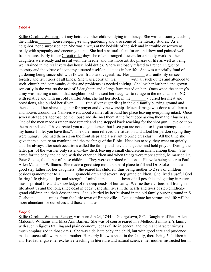## *Page 4*

Sallie Caroline Williams left any heirs-the other children dying in infancy. She was constantly teaching the children house keeping-sewing-gardening and also some of the literary studies. As a neighbor, none surpassed her. She was always at the bedside of the sick and in trouble or sorrow as ready with sympathy and encouragement. She had a natural talent for art and drew and painted well from nature. Early in her Circuit rider days she often arranged flowers for art study work All her daughters were ready and useful with the needle and this more artistic phases of life as well as being well trained in the real every day house hold duties. She was closely related to French Huguenot ancestry and the virtue of economy asserted itself on all sides in her life. She was especially fond of gardening being successful with flower, fruits and vegetables. Her was authority on seesforestry and fruit trees of all kinds. She was a constant rea\_\_\_\_\_\_\_ with all such duties and attended to such church and community duties and problems as needed solving. She lost her husband and grown son early in the war, so the task of 3 daughters and a large farm rested on her. Once when the enemy's army was making a raid in that neighborhood she sent her daughter to refuge in the mountains of N.C. with relative and with just old faithful John, she hid her stock in the surfed her meat and provisions, also buried her silver (the silver sugar dish) in the old family burying ground and then called all her slaves together for prayer and divine worship. Much damage was done to all farms and houses around, the Yankees went about 5 miles all around her place leaving everything intact. Once several stragglers approached the house and she met them at the front door asking them their business. One of the men made a rather rude remark and she stepped back reaching for the shot gun – leveled it on the man and said "I have treated you as a gentlemen, but I see you are not one so if you attempt to enter my house I'll let you have this.". The other men relieved the situation and asked her pardon saying they were hungry. She had them sit on the front steps and a servant to bring breakfast.. All the time she gave them a lecture on mankind and the teachings of the Bible. Needless to say, they went on quietly and she always after such occasions called the family and servants together and held prayer. During the latter part of the war her only sister-in-law died, leaving 5 small children-an infant among them. She cared for the baby and helped with the other children and when things were more settled, he married Dr. Peter Stokes, the father of these children. They were our blood relations – His wife being sister to Paul Allen Malcomb Williams. She made a good step mother, a hard place to fill and Dr. Stokes made a good step father for her daughters. She reared his children, thus being mother to 2 sets of children besides grandmother to 7 \_\_\_\_\_\_\_ grandchildren and several step grand children. She lived a useful God fearing life giving out joy and strength of mind-some heart of all possible and getting in return mush spiritual life and a knowledge of the deep needs of humanity. We see these virtues still living in life about us and tho long since dead in body , she still lives in the hearts and lives of step children, grand children and their descendants. She is buried by her husband in the old family burying round in S. C. about \_\_\_\_\_\_\_ miles from the little town of Branchville. Let us imitate her virtues and life will be more abundant for ourselves and those about us.

#### *Page 5*

Sallie Caroline Williams Yancey was born Jan 24, 1844 in Georgetown, S.C. Daughter of Paul Allen Malcomb Williams and Eliza Ann Barnes. She was of course reared in a Methodist minister's family with such religious training and plain economy ideas of life in general and the real character virtues much emphasized in those days. She was a delicate baby and child, but with good care and prudence made a successful woman and mother. Her early life was spent in the family, there being 5 children in all. Her father gave her exclusive teaching in literature and natural science; her mother instructed her in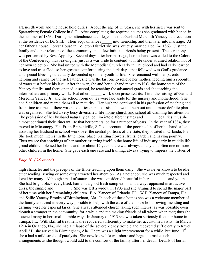art, needlework and the house hold duties. About the age of 15 years, she with her sister was sent to Spartanburg Female College in S.C. After completing the required courses she graduated with honor in the summer of 1863. During her attendance at college, she met Garland Meredith Yancey at a reception at the residence of Dr. Shiff. Their acquaintance r\_\_\_\_\_ into friendship and then later into marriage. At her father's house, Forest House in Colleton District she was quietly married Dec. 24, 1863. Just the family and other relations of the community and a few intimate friends being present. The ceremony was performed by Rev. Appleby. Several days after her marriage, her husband was called to the Colors of the Confederacy thus leaving her just as a war bride to contend with life under strained relation not of her own selection. She had united with the Methodist Church early in Childhood and had early learned to love and trust God, so her greatest comfort during the dark days that followed was God's guidance and special blessings that daily descended upon her youthful life. She remained with her parents, helping and caring for the sick father; she was the last one to relieve her mother, feeding him a spoonful of water just before his last. After the war, she and her husband moved to N.C. the home state of the Yancey family and there opened a school, he teaching the advanced grads and she teaching the intermediate and primary work. But others work soon presented itself into the raising of Garland Meredith Yancey Jr., and the school room duties were laid aside for the nursery and motherhood. She had 5 children and reared them all to maturity. Her husband continued in his profession of teaching and from time to time --- there was need of teachers to assist, she would help out until a more definite plan was organized. She led a very busy diversified life-home-church and school all claiming her attention. The profession of her husband naturally called him into different states and localities, thus she almost continued their itinerant life that her parents led for a number of years. In the year of 1884, they moved to Micomopy, Fla. From Branchiville, S.C. on account of the poor health of her husband, after assisting her husband in school work over the central portions of the state, they located in Orlando, Fla. She took much interest in the little home place, planting flowers, fruits, garden and having poultry. Thus we see that teachings of her mother asserting itself in the home life of industry early in middle life, grand children blessed her home and for about 12 years there was always a baby and often one or more other children in the home. She gave each one care and training, always trying to impress the virtues of

## *Page 10 (6-9 at end)*

high character and the precepts of the Bible teaching upon them daily. She was never known to be idle ether reading, sewing or some duty attracted her attention. As a neighbor, she was much respected and loved by many. Although small of stature, she was considered beautiful in her and youth. She had bright black eyes, black hair and a good fresh complexion and always appeared in attractive dress, the simple and . She was left a widow in 1903 and she arranged to spend the major part of her time with her 3 remaining children. P.A. Yancey of Orlando, FL. W.P. Yancey of Tampa, Fla., and Sallie Yancey Brooks of Birmingham, Ala. In each of these homes she was a welcome member of the family and tried in every way possible to help with the care of the house hold, sewing-mending and darning were her especial tasks. She always attended church taking such interest as was possible even though a stranger in the community, for a while and the making friends of all whom when met; thus she touched many in her small humble way. In January of 1913 she was taken seriously ill at her home in Tampa, FL. With skillful treatment she recovered sufficiently to make her accustomed visits. In March 1914 in Orlando, Fla., she had a relapse of the severe kidney trouble and recovered sufficiently to travel. April 31<sup>st</sup> she arrived in Birmingham, Ala. There was a slight improvement for a while, but June  $17<sup>th</sup>$ , she a had a mild stroke of paralysis. She now knew life was shore and begun to make such arrangements as she thought would add to the comfort of the family after her death. Details of burial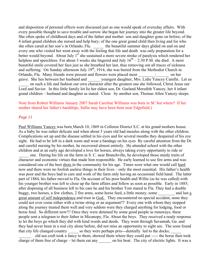and disposition of personal effects were discussed just as one would speak of everyday affairs. With every possible thought to save trouble and sorrow she began her journey into the greater life beyond. She often spoke of childhood days and of the father and mother son and daughter gone on before; of the 4 infant grand children she nursed and help bury; of the one great grand child then living and for who she often cared at her son's in Orlando, Fla. <br>the beautiful summer days glided on and on and every one who visited her went away with the feeling that life and death was only preparation for a better would beyond. About July 1<sup>st</sup> she sustained a more severe stroke of paralysis which rendered her helpless and speechless. For about 3 weeks she lingered and July  $16<sup>th</sup> - 2:30$  P.M. she died. A most beautiful smile covered her face just as she breathed her last, thus removing out all traces of sickness and suffering. On Sunday afternoon July  $19<sup>th</sup>$ , 1914, she was buried from the Methodist Church in Orlando, Fla. Many friends were present and flowers were placed most \_\_\_\_\_\_\_\_-\_\_\_\_\_\_ on her grave. She lies between her husband and youngest daughter, Mrs. Lidie Yancey Camfin. Let us on such a life and fashion our own character after the greatest one she followed, Christ Jesus our Lord and Savior. In this little family lot lie her eldest son, Dr. Garland Meredith Yancey, her 4 infant grand children – husband and daughter as stated. Close by another son, Thomas Allen Yancey sleeps.

## Note from Robert Williams January 2007 Sarah Caroline Williams was born in SC but where? If her mother shared her father's hardships, Sallie may have been born near Edgefield.)

## *Page 11*

Paul Williams Yancey was born March 10, 1869 in Colleton District S.C. at his grand mothers house. As a baby he was rather delicate and when about 5 years old had measles along with the other children. Complications set up and the disease settled in his eyes and for several months they despaired of his eye sight. He had to be left in a dark room and wear a bandage on his eyes By careful attention from the Dr. and careful nursing by his mother, he recovered almost entirely. He attended school with the other children and at an early age developed a love for horses, always taking every opportunity to ride or

one. During his life on the farm in S. C. near Branchville, he developed those sturdy traits of character and economic virtues that made him responsible. He early learned to use fire arms and was considered one of the best shots in the community for his age. Times were what one would call hard now and there were no foolish useless things in their lives – only the most essential. His father's health was poor and the boys had to care and work of the farm only having an occasional field hand. The latter part of 1884, his father moved to Fla. On account of his poor health and Willie (as he was called) with his younger brother was left to close up the farm affairs and follow as soon as possible. Early in 1885; after disposing of all business left to his care he and his brother Tom stared to Fla. They had a double buggy, two horses, a few clothes, 2 fire arms, some horse feed, a little money, some and last a great amount of self independence and trust in God. They encountered no special accident, none they could not over come either with a twine string or an argument?? Every one with whom they stopped along the journey treated them well and very seldom were they charged anything for lodging, food or horse feed. So different now!!! Once they were detained by some good people as runaways, these people sent a telegram to their father in Micanopy, Fla. About the boys. They received a ready response to let the boys go which they did with kind words and deeds. They went through Savannah, Ga. and they had never been in a real city alone before, did not miss an opportunity to sight see. The soon found that city life changed country so they were perhaps prio---dentially led to the docks;

old sea craft took a fancy to them, showed them where they could put ----- the horse then took charge of them free of charge – let them eat any on his boat. The city of electric lights. It was a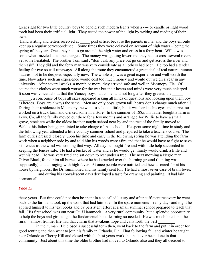great sight for two little country boys to behold such modern lights when a ---- or candle or light wood torch had been their artificial light. They tested the power of the light by writing and reading of their own.

Hand writing and letters received at \_\_\_\_\_ post office, because the parents in Fla. and the boys enroute kept up a regular correspondence . Some times they were delayed on account of high water – being the spring of the year. Once they had to go around the high water and cross in a ferry boat. Willie was some what frazzled as to the charges. The money was getting lower and they had to cross several rivers yet so he hesitated. The brother Tom said , "don't ask any price but go on and get across the river and then ask" They did and the ferry man was very considerate as all others had been. He too had a tender feeling for two so call runaways. All along the route they encountered a great deal of real natural human natures, not to be despised especially now. The whole trip was a great experience and well worth the time. Now adays such an experience would cost too much money and would out weigh a year in any university. After several weeks, a month or more, they arrived safe and well in Micanopy, Fla. Of course their clothes were much worse for the war but their hearts and minds were very much enlarged. It soon was voiced about that the Yancey boys had come; and not long after they greeted the

\_\_\_\_\_\_, a concourse of boys all sizes appeared asking all kinds of questions and looking upon them boy as heroes. Boys are always the same. "Men are only boys grown tall, hearts don't change much after all. During their residence in Micanopy, he went to school a little, but it was hard as his eyes and nerves so worked on a truck farm and clerked some in a store. In the summer of 1885, his father bought a farm in Levy, Co. all the family moved out there for a few months and arranged for Willie to have a small grove, stock etc while the oldest brother taught school near by and the rest of the family moved to Waldo; his father being appointed to take charge of that school. He spent some night time in study and the following year attended a little country summer school and prepared to take a teachers course. The farm duties pressed closely upon his time and early in the following spring he was attending the farm work when a neighbor rode by and told him his woods were afire and that he would have to fight to save his fences as the wind was coming that way. All day he fought fire and with little help succeeded in keeping the fences safe. He had a bucket of water and as he would get thirsty would drink a little and wet his head. He was very tired and sat down to rest under a tree. The next morning a Negro man, Oliver Black, found him all burned where he had crawled over the burning ground (hunting wast supposedly) and all raging with high fever. At once people were notified and hew as cared for at his house by neighbors; the Dr. summoned and his family sent for. He had a most sever case of brain fever.

and during his convalescent days developed a taste for drawing and painting. It had lain dormant all

## *Page 13*

these years. But time could not then be spent in a so called luxury and after sufficient recovery he went back to the farm and took up the work that had lain idle. In the spare moments – rainy days and night he applied himself to his text books and by persistent effort at a small summer school prepared to teach that fall. His first school was out near Gulf Hammock – a very rural community but a splendid opportunity to help the boys and girls to get the fundamental book learning so needed. He was much liked and the rural –almost frontier life had that charm that awakens hope and calls forth the best

in the human. He closed a successful term then, went back to the farm and put it in order for good renting and then went to join his family in Orlando, Fla. That following fall and winter he taught near Orlando at Cherry Hill and closed with the best years work that had ever been done in that community. Just about this time the older brother had moved to Orlando also and they all decided to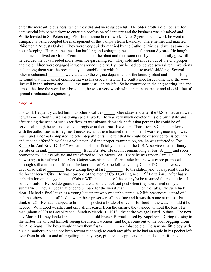enter the mercantile business, which they did and were successful. The older brother did not care for commercial life so withdrew to enter the profession of dentistry and the business was dissolved and Willie located in St. Petersburg, Fla. In the same line of work. After 2 yeas of such work he went to Tampa, Fla. And accepted the management of the Tampa Steam Laundry. There he met and married Philomenia Augusta Oakes. They were very quietly married by the Catholic Priest and went at once to house keeping. He remained position building and enlarging the for about 8 years. He bought his home and lived on Grand Central ----- near the plant and then soon one by one the family grew till he decided the boys needed more room for gardening etc. They sold and moved out of the city proper and the children were engaged in work around the city. By now he had conceived several real inventions and among them was the present day automobile tire with the to avoid skidding. Several other mechanical were added to the engine department of the laundry plant and -------- long he found that mechanical engineering was his especial talent. He built a nice large home near the ---- line still in the suburbs and the family still enjoy life. So he continued in the engineering line and almost the time the world war broke out, he was a very worth while man in character and also his line of special mechanical engineering.

## *Page 14*

His work frequently called him into other localities other states and after the U.S.A. declared war, he was ---- in South Carolina doing special work. He was very much devoted t his old birth state and after seeing the need of such sacrifices as war always demands he felt that perhaps he could be of service although he was not called to register at that time. He was in Charleston, S.C. and conferred with the authorities as to regiment needs-etc and there learned that his line of work-engineering – was much under normal compared to other departments. He felt that he could be of service to his country and at once offered himself as a volunteer. Aft the proper examination, etc. he was referred to Fort S\_\_\_\_Ga. And Nov. 17, 1917 was at that place officially enlisted in the U.S.A. service as an ordinary private or in rank **Buck Private.** He did not remain long at Fort Sc and soon promoted to  $1<sup>st</sup>$  class private and transferred to Fort Meyer, Va. There he was under Capt. Da\_\_\_\_. The he was again transferred Capt Geiger was his head officer; under him he was twice promoted although still a non com officer. The later part of Feb, he left University Camp D.C and after several days of so called **Latter Leave taking they at last \_\_\_\_\_\_\_\_**- to the station and took special train for the fort at Jersey City. He was now one of the men of Co. D.30 Engineer  $-2^{nd}$  Battalion . After hasty embarkation on the aggem (Kaiser William of the enemy's) he assumed the real duties of soldiers sailor. Helped do guard duty and was on the look out post when they were fired on by a submarine. They all began at once to prepare for the worst sear on the rafts. No such luck thou. He had a final laugh as a young lieutenant who was upholstered in 2 life preservers instead of 1 and the others all had to wear these preservers all the time and it was tiresome at times – but think of 2!!! He had strapped to him in ---- pocket a bottle of olive oil for food in the water should it be needed. With good weather and only slight scares from the enemy, they landed without the loss of a man (about 6000) at Brest-France. Sunday-March 10, 1918. the entire voyage lasted 15 days. The next day March 11, they landed and tol old French Barracks used by Napoleon. During the stay in the harbor, he amused himself seeing the French women and boys come out to the boat begging from the Americans. The boys would throw them fruit- \_\_\_\_\_\_\_\_-- - tobacco etc. He saw one little boy with his old mother who had not been fortunate enough to catch any gifts so he had an apple in his pocket left over from breakfast and after getting the boys eye, pitched the apple and the child caught it-oh-such a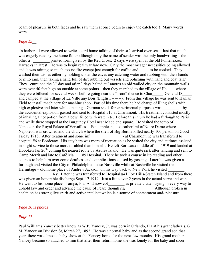beam of pleasure in both faces and he saw them at once begin to enjoy the catch too!!! Many words were

## *Page 15*\_\_

 in harbor all were allowed to write a card home talking of their safe arrival over seas. Just that much was eagerly read by the home fuller although only the name of sender was the only handwriting – the other a straight printed form given by the Red Cross. 2 days were spent at the old Pontenezzea Barracks in Brest. He was to begin real war fare now. Only the most meager necessities being allowed and is was raining so much too-no fire except just enough for coffee and  $\qquad$  to be cooked. They washed their dishes either by holding under the eaves any catching water and rubbing with their hands or if no rain, then taking a hand full of dirt rubbing out vessels and polishing with hand and coat tail? They entrained the  $3<sup>rd</sup>$  day and after 3 days halted at Langres an old walled city on the mountain walls were over 40 feet high on outside at some points – then they marched to the village of He------ where they were billeted for several weeks before going near the "front" thence to Char General D and camped at the village of La Ville any Bois (English -------). From this village he was sent to Hanlan Field to install machinery for machine shop. Part of his time there he had charge of illing shells with high explosive and later while opening a German shell for experimental purposes was  $\longrightarrow$  by the accidental explosion-gassed-and sent to Hospital #15 at Charnmont. His treatment consisted mostly of inhaling a hot potion from a bowl filled with water etc. Before this injury he had a furlough to Paris and while there stopped at the Burgundy Hotel near Madelene square. He visited the tomb of Napoleon-the Royal Palace of Versailles--- Fontamblean, also catherdral of Notre Dame where Napoleon was crowned and the church where the shell of Big Bertha killed nearly 100 person on Good Friday 1918. After treatment and some inf  $\qquad \qquad$  - at Charmont, he was transferred to hospital #6 at Bordeanx. His stay here was more of recreation as he visited the city and at times assisted in slight service to those more disabled than himself. He left Bordeaux middle of ---- 1919 and landed at Hoboken Jan  $26<sup>th</sup>$  coming the nearest route by Azores Island. He was quite sick after landing and sent to Camp Merrit and late to Café Ma\_\_\_ #5 Hospital. There he took a course in lip reading and other courses to help him over come deafness and complications caused by gassing. Later he was given a furlough and visited the City of Philadelphia – also Nashville while at Nashville he visited the Hermitage – old home place of Andrew Jackson, on his way back to New York he visited

Ky. Later he was transferred to Hospital #41 Fox Hills-Staten Island and from there was given an honorable discharge Sept. 17 1919. Just a little over 2 years in the actual serve and war. He went to his home place –Tampa, Fla. And now cot as private citizen trying in every way to uphold law and order and advance the cause of Pease though rig Although broken in health he has strong live spirit and active intellect which is a source of contentment and- pleasure.

#### *Page 16 is photos*

#### *Page 17*

Paul Williams Yancey better know as W.P. Yancey, Jr. was born in Orlando, Fla at his grandfather's, G. M. Yancey on Division St, March 27, 1892. He was a normal baby and as the second grand son that year, there was almost a baby show at the Yancey home for the next few months. His grand mother Yancey became so attached to him that after their return home she was lonely for the baby and soon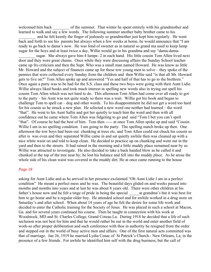welcomed him back of the summer. That winter he spent entirely with his grandmother and learned to walk and say a few words. The following summer another baby brother came to his

and he felt keenly the finger of jealously so grandmother just kept him regularly. He went back and forth to see his parents but always when a few weeks at home, he would announce that "I am ready to go back to dama's now. He was fond of sweeter as in natural so grand ma used to keep lump sugar for the boys and at least twice a day, Willie would go to his grandma and say "dama-dama-

sugar. She always gave him 4 lumps- 2 in each hand. His little cousin Tom Allen lived next door and they were great chums. Once while they were discussing affairs the Sunday School teacher came up fro criticism and then the Supt. Who was a small man named Howard. He was know as little Mr. Howard and the subject of finances came up for these tow young men to solve – they spoke of the pennies that were collected every Sunday from the children and then Willie said "is that all Mr. Howard gets to live on?" Tom Allen spoke up and answered "Yes and half of that has to go to the brethren." Once again a party was to be had for the S.S. class and these two boys were going with their Aunt Lidie. Willie always liked books and took much interest in spelling new words also in trying out spell his cousin Tom Allen which was not hard to do. This afternoon Tom Allen had come over all ready to got to the party – his Aunt was not quite ready so there was a wait. Willie got his book and began to challenge Tom to spell cat – dog and other words. To his disappointment he did not get a word too hard for his cousin so he struck a new plan. He selected a new word one neither had learned – the word "that". He went to his Aunt Sallie and got her quietly to teach him the word and then with all confidence out he came where Tom Allen was fidgeting to go and said "Tom I bet you can't spell "that". Of course he had the best of him. Tom then ----- at once Tom Allen spoke up and said "Cousin Willie I am in no spelling condition. I am going to the party. The spelling match broke up then. One afternoon the tow boys had been out chunking at trees etc, and Tom Allen could out chuck his cousin so after is was even and they separated Willie came in and sat quietly awhile then was cleaned up with a nice white waist on and told to keep clean. He decided to practice up on chunking and went out in the yard and then to the streets. It had rained in the morning and a little muddy place remained near by so Willie was attracted to investigate. He also decided to take a back handed blow as he called it and chunked at the top of the tree near by; he lost his balance and fell into the muddy place. As he arose the whole side of his clean waist was covered in the muddy dirt. He at once came running to the house

#### *Page 18*

asking for Aunt Lidie and as he arrived in her presence exclaimed "Oh Aunt Lidie I am in a perfect condition" He meant a perfect mess and he was. The beautiful days glided on and weeks passed into months and months into years and at last he was about 8 years old. There were other children at his father's house now and he felt a tinge of pride in being the special at grandma's but it was best for him to go home and be a regular older boy. He attended school and for awhile worked in a drug store on Saturday's and after school. When about 14 years of age he felt the desire for some life work and decided to enter the Catholic training for the Society of Jesus. He was placed in such a school at Macon, Ga. and for several years continued his course. Then he taught in connection with his work at Woodstock, MD and St. Charles College, Grand Coteau La. During 1918 he decided that a life of such seclusion was not best for him and that he would rather be out in the world and enter another field of work-so after proper deliberation and such conference with thos in authority he resigned from the order and stepped out in the world of busy active men and affairs. One of the first natural acts committed was that of marriage. Jan 26, 1919 he married Lydia Cenac of St Patrick's Church.- New Orleans, La, in the presence of a few friends. For awhile he identified him self with the drug business, but the call of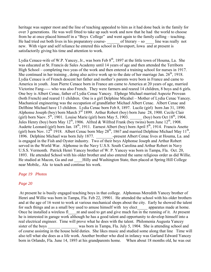heritage was supper most and the line of teaching appealed to him as it had done back in the family for over 3 generations. He was well fitted to take up such work and now that he had the world to choose from he at once placed himself in a "Boys College" and went again to the family calling – teaching. He had tried out both lives in his preparatory course- of literary – so line was really not new. With vigor and self reliance he entered this school in Davenport, Iowa and at present is satisfactorily giving his time and attention to work.

Lydia Cenace-wife of W.P. Yancey, Jr., was born Feb 8<sup>th</sup>, 1897 at the little town of Houma, La. She was educated at St. Francis de Sales Academy until 14 years of age and then attended the Terriborn High School – completing two yeas of the work and then entered a training school for nurses in 1917. She continued in her training, doing also active work up to the date of her marriage Jan.  $26<sup>th</sup>$ , 1918. Lydia Cenace is of French descent her father and mother's parents were born in France and came to America in youth. Jean Pierre Cenace born in France am came to America at 20 years of age, married Victorine Fang----- who was also French. They were farmers and reared 14 children, 8 boys and 6 girls. One boy is Albert Cenac, father of Lydia Cenac Yancey. Elphege Michael married Aspezie Provean (both French) and reared 11 children. One is a girl Delphine Micahel – Mother of Lydia Cenac Yancey. Machanical engineering was the occupation of grandfather Michael Albert Cenac. Albert Cenac and Delfhine Michael have 13 children. Lydia Cenac born Feb 8, 1897. Lucile (girl) born Jan 31, 1890. Alphonse Joseph (boy) born March  $3^{rd}$  1899. Arthur Robert (boy) born June 28, 1900. Cecile Clair (girl) born Naov.  $5^{th}$ , 1901. Louise Marie (girl) born May 5, 1903. (boy) born Oct 18<sup>th</sup>, 1904. Jules Henry (boy) born May 12<sup>th</sup>, 1906. Alfred & Wilfred Frank (boy twins) born June 12<sup>th</sup>, 1908. Audette Leonard (girl) born Jan. 18<sup>th</sup>, 1911. Earnest Albert (boy) born April 5<sup>th</sup>, 1914. Francis Anette (girl) born Nov.  $12^{th}$  1918. Albert Cenac born May  $28^{th}$ , 1867 and married Delphine Michael May  $11^{th}$ , 1896. Delphine Michael was born July 1877. <br>
-present Albert Cenac lives at Houma, La. and is engaged in the Fish and Oyster industry. Two of their boys Alphonse Joseph and Arthur Robert served in the World War. Alphonse in the Navy U.S.S. South Carolina and Arthur Robert in Navy U.S.S. Vermonth. Patrick Henri Yancey brother of W. P. Yancey was born in Tampa, Fla. Oct. 20, 1893. He attended School with his older brother and also entered the same religious order as did Willie. He studied at Macon, Ga and out Hilly and Washington State, then placed at Spring Hill College near Mobile,. Ala to teach and continue his work.

## *Page 19 Photos*

## *Page 20*

 At present he is busily engaged teaching boys in that college. Alphonsus Meredith Yancey brother of Henri and Willie was born in Tampa, Fla. Feb 22, 19901. He attended the school with his older brothers and at the age of 16 went to work at various mechanical shops about the city. Early he showed the talent for such things and as a small boy used to amuse himself with toy elect apparatus made at home. Once he installed a wireless fl<sup>1</sup> and used to get and give much fun in the running of it. At present he is interested in garage work although he has a good talent and opportunity to develop himself into a real electrical engineer. Time will prove what he does with the talent. Philomenia Augusta Yancey sister of the boys was born in Tampa, Fla. July 5, 1904. She is attending school and of course assisting in the house hold duties. She likes music and studied some along that line Time will also tell what she does as a life work. Another brother who died in infancy was Garland Edward Yancey born in Orlando, Fla. June 14, 1893 at his grandparents home. When about 18 months old, he was out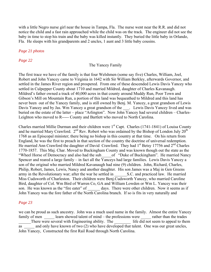with a little Negro nurse girl near the house in Tampa, Fla. The nurse went near the R.R. and did not notice the child and a fast rain approached while the child was on the track. The engineer did not see the baby in time to stop his train and the baby was killed instantly. They buried the little baby in Orlando, Fla. He sleeps with his grandparents and 2 uncles, 1 aunt and 3 little baby cousins.

## *Page 21 photos*

## *Page 22*

## The Yancey Family

The first trace we have of the family is that four Welshmen (some say five) Charles, William, Joel, Robert and John Yancey came to Virginia in 1642 with Sir William Berkley, afterwards Governor, and settled in the James River region and prospered. From one of these descended Lewis Davis Yancey who settled in Culpepper County about 1710 and married Mildred, daughter of Charles Kavanaugh. Mildred's father owned a track of 40,000 acres in that county around Muddy Run, Poor Town and Gibson's Mill on Mountain Run, a portion of this land was bequeathed to Mildred and this land has never been out of the Yancey family, and is still owned by Benj. M. Yancey, a great grandson of Lewis Davis Yancey and by Jas. Wm Yancey a great grandson of the . Lewis Davis Yancey lived and was buried on the estate of the latter – place "Arlington". Now John Yancey had several children – Charles-Leighton who moved to R----- County and Bartlett who moved to North Carolina.

Charles married Millie Durman and their children were 1<sup>st</sup> Capt. Charles (1741-1841) of Louisa County and he married Mary Crawford.  $2<sup>nd</sup>$  Rev. Robert who was ordained by the Bishop of London July  $20<sup>th</sup>$ 1768 as an Episcopal minister; there being no bishop in this country at that time. On his return from England, he was the first to preach in that section of the country the doctrine of universal redemption. He married Ann Crawford the daughter of David Crawford. They had  $1<sup>st</sup>$  Betsy 17756 and  $2<sup>nd</sup>$  Charles 1770-1857. This Maj. Char. Moved to Buckingham County and was known though out the state as the "Wheel Horse of Democracy and also had the sub of "Duke of Buckingham". He married Nancy Spencer and reared a large family – in fact all the Yanceys had large families. Lewis Davis Yancey a son of the original who married Mildred Kavanaugh had nine (9) children. John, Richard, Charles, Philip, Robert, James, Lewis, Nancy and another daughter. His son James was a Maj in Gen Greens army in the Revolutionary war; after the war he settled in S.C. and practiced law. He married Miss Cudsworth of Charleston. Their children were Benj.Cudsworth Yancey, who married Caroline Bird, daughter of Col. Wm Bird of Warren Co, GA and William Lowden or Wm L. Yancey was their son. He was known as the "fire eater" of days. There were other children. Now it seems as if John Yancey was the fore father of the North Carolina branch. If so is fits in very naturally and

## *Page 23*

we can be proud as such ancestry. John was a much used name in the family. Almost the entire Yancey family of men learn showed talent of mind – the professions were rather than the trades There were several with Engineering ability. The life did not seem to appeal to them as and only have known of two (2) who have developed that talent. One was our great uncles, John Yancey, Constructed the first Rail Road through North Carolina.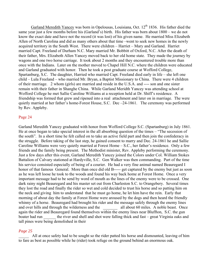Garland Meredith Yancey was born in Opelousas, Louisiana, Oct. 12<sup>th</sup> 1836. His father died the same year just a few months before his (Garland's) birth. His father was born about 1800 – we do not know the exact date and have not the record (it was lost) of his given name. He married Miss Elizabeth Allen of North Carolina and did as many others about that time –went to seek new homes in the newly acquired territory in the South West. There were children – Harriet – Mary and Garland. Harriet married Capt. Freeland of Durham N.C. Mary married Mr. Bobbitt of Oxford, N.C. After the death of their father, Mrs. Elizabeth Allen Yancey moved back to her old home state. They made the journey by wagons and one two horse carriage. It took about 2 months and they encountered trouble more than once with the Indians. Later on the mother moved to Chapel Hill N.C. where the children were educated and Garland graduated with honor. Then he took a post graduate course at Wofford College, Spartanburg, S.C. The daughter, Harried who married Capt. Freeland died early in life – she left one child – Lula Freeland – who married Mr. Bryan, a Baptist Missionary to China. There were 4 children of their marriage. 2 whom (girls) are married and reside in the U.S.A. and ---- son and one sister remain with their father in Shanghe China. While Garland Meridth Yancey was attending school at Wofford College he met Sallie Caroline Williams at a reception held at Dr. Shiff's residence. A friendship was formed that grew and ripened into a real attachment and later on in marriage. The were quietly married at her father's home-Forest House, S.C. Dec -24-1861. The ceremony was performed by Rev. Appleby.

## Page 24

Garland Meredith Yancey graduated with honor from Wofford College S.C. (Spartanburg) in July 1861. He at once began to take special interest in the all absorbing question of the times – "The secession of the south". In a short time he felt called on to take an active field part and then join the confederacy in the struggle. Before taking of the last step, he gained consent to marry and Dec. 24-1861 he and Sallie Caroline Williams were very quietly married at Forest Home – S.C., her father's residence. Only a few friends and the family being present. The Methodist minister, Rev. Appleby performing the ceremony. Just a few days after this event, Garland Meredith Yancey joined the Colors under Col. William Stokes Battalion of Calvary stationed at Hardyville, S.C. Gen Walker was then commanding. Part of the time his service consisted especially of being of a courier. He had a very fine animal named Beauregard I honor of that famous General. More than once did old B----- get captured by the enemy but just as soon as he was left loose he took to the woods and found his way back home at Forest Home. Once a very important message had to be send by word of mouth as the lines of the enemy were to be crossed. One dark rainy night Beauregard and his master set out from Charleston S.C. to Orangebery. Several times they lost the road and finally the rider so wet and cold decided to trust his horse and so patting him on the neck and giving him to understand that he must go home, he let him have the rein. Early that morning of about day the family at Forest Home were aroused by the dogs and then heard the friendly whinny of a horse. Beauregard had brought his rider and the message safely through the enemy lines and over hills and through the wilderness and the all about 60 miles. A noble beast. Once again the rider and Beauregard found themselves within the enemy lines near Bluffton, S.C. the gun boater had run the river and shell and shot were falling thick and fast – great Virginia oaks and tall pines were being demolished in their

## *Page 25*

All at once safety had to be sought so the rider patted his horse and dismounted, leaving of him to fare as best as possible while he (rider) took refuge on the ground behind an enormous oak.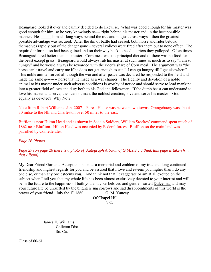Beauguard looked it over and calmly decided to do likewise. What was good enough for his master was good enough for him, so he very knowingly st---- right behind his master and in the best possible manner. He himself long ways behind the tree and not just cross ways – then the greatest possible advantage was secured. After the din of battle had ceased, both horse and rider betook themselves rapidly out of the danger gone – several volleys were fired after them but to none effect. The required information had been gained and on their way back to head quarters they galloped. Often times Beauagard fared better than his master. Corn meal was the principal diet and of there was no food for the beast except grass. Beauguard would always rub his master at such times as much as to say "I am so hungry" and he would always be rewarded with the rider's share of Corn meal. The argument was "the horse can't travel and carry me if he does not get enough to eat." I can go hungry till I get elsewhere" This noble animal served all though the war and after peace was declared he responded to the field and made the same g-------- horse that he made as a war charger. The fidelity and devotion of a noble animal to his master under such adverse conditions is worthy of notice and should serve to lead mankind into a greater field of love and duty both to his God and fellowman. If the dumb beast can understand to love his master and serve, then cannot man, the noblest creation, love and serve his master – God – equally as devoted? Why Not?

Note from Robert Williams Jan. 2007 – Forest House was between two towns, Orangebuery was about 30 milse to the NE and Charleston over 50 miles to the east.

Buffton is near Hilton Head and as shown in Saddle Soldiers, William Stockes' command spent much of 1862 near Bluffton. Hilton Head was occupied by Federal forces. Bluffton on the main land was patrolled by Confederates.

*Page 26 Photos* 

# *Page 27 (on page 26 there is a photo of Autograph Alburm of G.M.Y.Sr. I think this page is taken frm that Album)*

My Dear Friend Garland Accept this book as a memorial and emblem of my true and long continued friendship and highest regards for you and be assured that I love and esteem you higher than I do any one else, or than any one esteems you. And think not that I exaggerate or am at all excited on the subject when I tell you that my whole life has been almost exclusively devoted to your interest and will be in the future to the happiness of both you and your beloved and gentle hearted Dulcemia and may your future life be unruffled by the blighten ing sorrows and sad disappointments of this world is the prayer of your friend. July the  $1<sup>st</sup> 1860$ . G. M. Yancey

 Of Chapel Hill N.C.

> James E. Williams Colleton Dist. So. Ca.

Class of 60-61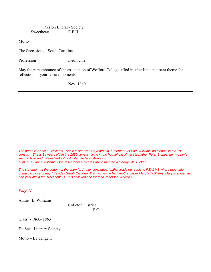Preston Literary Society Sweetheart E.E.H.

Motto

The Secession of South Carolina

Profession medincine

May the remembrance of the association of Wofford College affod in after life a pleasant theme for reflection in your leisure moments.

Nov. 1860

*The name is Annie E. Williams. Annie is shown as 4 years old, a member of Paul Williams' household in the 1850 census. She is 34 years old in the 1880 census, living in the household of her stepfather Peter Stokes, her mother's second husband. Peter Stokes' first wife had been Annie's* 

aunt, E. E. Anna Williams. One researcher indicates Annie married a George W. Tucker.

*The statement at the bottom of the entry for Annie, concludes, "...that leads our souls to REALMS where moontide brings no close of day." Besides Sarah Caroline Willimas, Annie had another sister Mary W.Williams Mary is shown as one year old in the 1850 census. It is believed she married Jefferson Warren.)* 

*Page 28* 

Annie E. Williams

 Colleton District S.C.

Class - 1860- 1863

De Steal Literary Society

Motto – Be deligent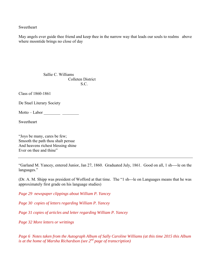Sweetheart

May angels ever guide thee friend and keep thee in the narrow way that leads our souls to realms above where moontide brings no close of day

 Sallie C. Williams Colleten District S.C.

Class of 1860-1861

De Stael Literary Society

Motto – Labor \_\_\_\_\_\_\_\_ \_\_\_\_\_\_\_\_

Sweetheart

"Joys be many, cares be few; Smooth the path thou shalt persue And heavens richest blessing shine Ever on thee and thine"

"Garland M. Yancey, entered Junior, Jan 27, 1860. Graduated July, 1861. Good on all, 1 sh----le on the languages."

(Dr. A. M. Shipp was president of Wofford at that time. The "1 sh---le on Languages means that he was approximately first grade on his language studies)

*Page 29 newspaper clippings about William P. Yancey* 

*Page 30 copies of letters regarding William P. Yancey* 

*Page 31 copies of articles and letter regarding William P. Yancey* 

*Page 32 More letters or writtings* 

*Page 6 Notes taken from the Autograph Album of Sally Caroline Williams (at this time 2015 this Album is at the home of Marsha Richardson (see 2nd page of transcription)*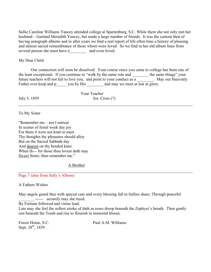Sallie Caroline Williams Yancey attended college at Spartenburg, S.C. While there she not only met her husband – Garland Meredith Yancey, but made a large number of friends. It was the custom then of having autograph albums and in after years we find a real report of life often time a history of pleasing and almost sacred remembrance of those whom were loved. So we find in her old album lines from several person she must have e and even loved.

## My Dear Child

 Our connection will soon be dissolved. Your course since you came to college has been one of the least exceptional. If you continue to "walk by the same rule and \_\_\_\_\_\_\_\_ the same things" your future teachers will not fail to love you, and point to your conduct as a \_\_\_\_\_\_\_\_. May our Heavenly Father ever keep and p\_\_\_\_\_ you by His \_\_\_\_\_\_\_\_ and may we meet at last in glory.

 Your Teacher July 5, 1859 Jos. Cross (?)

To My Sister

"Remember me – not I entreat In scenes of festal week day joy For them it were not kind or meet Thy thoughts thy pleasures should alloy But on the Sacred Sabbath day And dearest on thy bended knee When th--- for those thou lovest doth may Sweet Sister, then remember me."

A Brother

Page 7 (also from Sally's Album)

A Fathers Wishes

May angels guard thee with special care and every blessing fall to Sallies share; Through peaceful ------ securely may she treed.

By Fortune followed and virtue lead,

Late may she feel the softest stroke of dath as roses droop beneath the Zephyer's breath. Then gently rest beneath the Tomb and rise to flourish in immortal bloom.

Sept. 28<sup>th</sup>, 1859

Forest Home, S.C. Paul A.M. Williams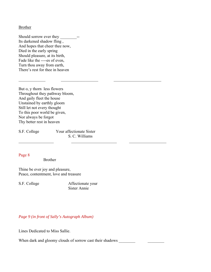#### **Brother**

Should sorrow ever they \_\_\_\_\_\_\_\_-- Its darkened shadow fling , And hopes that cheer thee now, Died in the early spring Should pleasure, at its birth, Fade like the ----es of even, Turn thou away from earth, There's rest for thee in heaven

But o, y thorn less flowers Throughout they pathway bloom, And gaily fleet the house Unstained by earthly gloom Still let not every thought To this poor world be given, Nor always be forgot Thy better rest in heaven

S.F. College Your affectionate Sister S. C. Williams

## Page 8

Brother

Thine be ever joy and pleasure, Peace, contentment, love and treasure

S.F. College Affectionate your Sister Annie

*Page 9 (in front of Sally's Autograph Album)* 

Lines Dedicated to Miss Sallie.

When dark and gloomy clouds of sorrow cast their shadows \_\_\_\_\_\_\_\_\_